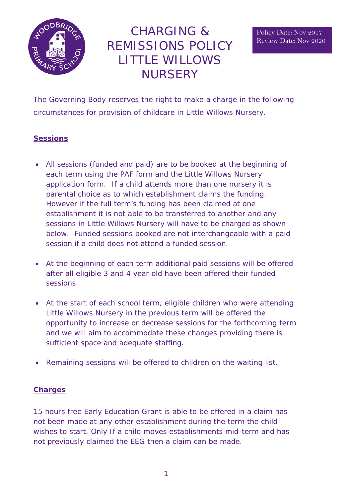

# CHARGING & REMISSIONS POLICY LITTLE WILLOWS **NURSERY**

The Governing Body reserves the right to make a charge in the following circumstances for provision of childcare in Little Willows Nursery.

## **Sessions**

- All sessions (funded and paid) are to be booked at the beginning of each term using the PAF form and the Little Willows Nursery application form. If a child attends more than one nursery it is parental choice as to which establishment claims the funding. However if the full term's funding has been claimed at one establishment it is not able to be transferred to another and any sessions in Little Willows Nursery will have to be charged as shown below. Funded sessions booked are not interchangeable with a paid session if a child does not attend a funded session.
- At the beginning of each term additional paid sessions will be offered after all eligible 3 and 4 year old have been offered their funded sessions.
- At the start of each school term, eligible children who were attending Little Willows Nursery in the previous term will be offered the opportunity to increase or decrease sessions for the forthcoming term and we will aim to accommodate these changes providing there is sufficient space and adequate staffing.
- Remaining sessions will be offered to children on the waiting list.

# **Charges**

15 hours free Early Education Grant is able to be offered in a claim has not been made at any other establishment during the term the child wishes to start. Only If a child moves establishments mid-term and has not previously claimed the EEG then a claim can be made.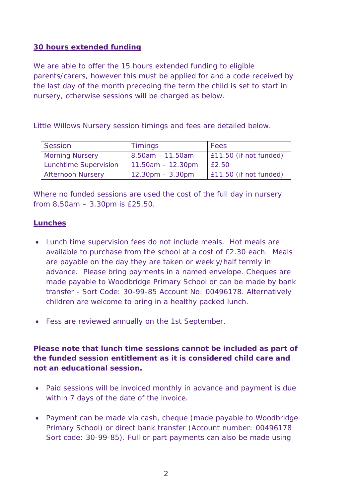#### **30 hours extended funding**

We are able to offer the 15 hours extended funding to eligible parents/carers, however this must be applied for and a code received by the last day of the month preceding the term the child is set to start in nursery, otherwise sessions will be charged as below.

Little Willows Nursery session timings and fees are detailed below.

| Session                  | <b>Timings</b>                     | Fees                   |
|--------------------------|------------------------------------|------------------------|
| <b>Morning Nursery</b>   | $8.50am - 11.50am$                 | E11.50 (if not funded) |
| Lunchtime Supervision    | $11.50am - 12.30pm$                | f2.50                  |
| <b>Afternoon Nursery</b> | $12.30 \text{pm} - 3.30 \text{pm}$ | £11.50 (if not funded) |

Where no funded sessions are used the cost of the full day in nursery from 8.50am – 3.30pm is £25.50.

#### **Lunches**

- Lunch time supervision fees do not include meals. Hot meals are available to purchase from the school at a cost of £2.30 each. Meals are payable on the day they are taken or weekly/half termly in advance. Please bring payments in a named envelope. Cheques are made payable to Woodbridge Primary School or can be made by bank transfer - Sort Code: 30-99-85 Account No: 00496178. Alternatively children are welcome to bring in a healthy packed lunch.
- Fess are reviewed annually on the 1st September.

# **Please note that lunch time sessions cannot be included as part of the funded session entitlement as it is considered child care and not an educational session.**

- Paid sessions will be invoiced monthly in advance and payment is due within 7 days of the date of the invoice.
- Payment can be made via cash, cheque (made payable to Woodbridge Primary School) or direct bank transfer (Account number: 00496178 Sort code: 30-99-85). Full or part payments can also be made using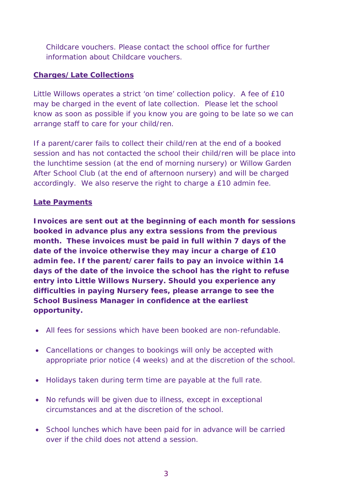Childcare vouchers. Please contact the school office for further information about Childcare vouchers.

## **Charges/Late Collections**

Little Willows operates a strict 'on time' collection policy. A fee of £10 may be charged in the event of late collection. Please let the school know as soon as possible if you know you are going to be late so we can arrange staff to care for your child/ren.

If a parent/carer fails to collect their child/ren at the end of a booked session and has not contacted the school their child/ren will be place into the lunchtime session (at the end of morning nursery) or Willow Garden After School Club (at the end of afternoon nursery) and will be charged accordingly. We also reserve the right to charge a £10 admin fee.

## **Late Payments**

**Invoices are sent out at the beginning of each month for sessions booked in advance plus any extra sessions from the previous month. These invoices must be paid in full within 7 days of the date of the invoice otherwise they may incur a charge of £10 admin fee. If the parent/carer fails to pay an invoice within 14 days of the date of the invoice the school has the right to refuse entry into Little Willows Nursery. Should you experience any difficulties in paying Nursery fees, please arrange to see the School Business Manager in confidence at the earliest opportunity.**

- All fees for sessions which have been booked are non-refundable.
- Cancellations or changes to bookings will only be accepted with appropriate prior notice (4 weeks) and at the discretion of the school.
- Holidays taken during term time are payable at the full rate.
- No refunds will be given due to illness, except in exceptional circumstances and at the discretion of the school.
- School lunches which have been paid for in advance will be carried over if the child does not attend a session.